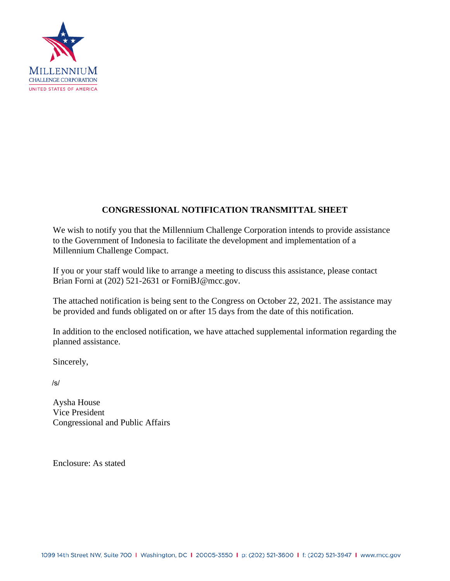

# **CONGRESSIONAL NOTIFICATION TRANSMITTAL SHEET**

We wish to notify you that the Millennium Challenge Corporation intends to provide assistance to the Government of Indonesia to facilitate the development and implementation of a Millennium Challenge Compact.

If you or your staff would like to arrange a meeting to discuss this assistance, please contact Brian Forni at (202) 521-2631 or ForniBJ@mcc.gov.

The attached notification is being sent to the Congress on October 22, 2021. The assistance may be provided and funds obligated on or after 15 days from the date of this notification.

In addition to the enclosed notification, we have attached supplemental information regarding the planned assistance.

Sincerely,

/s/

Aysha House Vice President Congressional and Public Affairs

Enclosure: As stated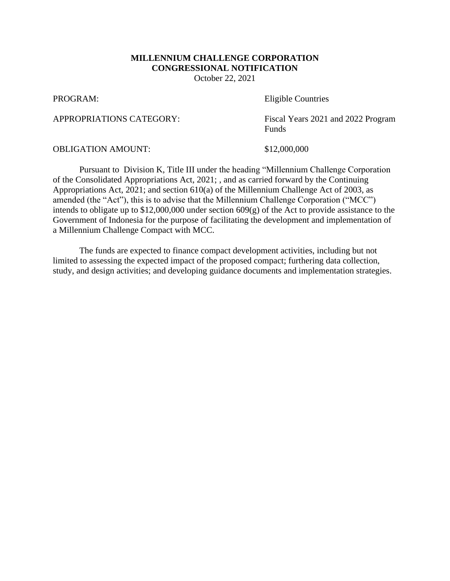# **MILLENNIUM CHALLENGE CORPORATION CONGRESSIONAL NOTIFICATION**

October 22, 2021

PROGRAM: Eligible Countries

APPROPRIATIONS CATEGORY: Fiscal Years 2021 and 2022 Program Funds

OBLIGATION AMOUNT: \$12,000,000

Pursuant to Division K, Title III under the heading "Millennium Challenge Corporation of the Consolidated Appropriations Act, 2021; , and as carried forward by the Continuing Appropriations Act, 2021; and section 610(a) of the Millennium Challenge Act of 2003, as amended (the "Act"), this is to advise that the Millennium Challenge Corporation ("MCC") intends to obligate up to \$12,000,000 under section 609(g) of the Act to provide assistance to the Government of Indonesia for the purpose of facilitating the development and implementation of a Millennium Challenge Compact with MCC.

The funds are expected to finance compact development activities, including but not limited to assessing the expected impact of the proposed compact; furthering data collection, study, and design activities; and developing guidance documents and implementation strategies.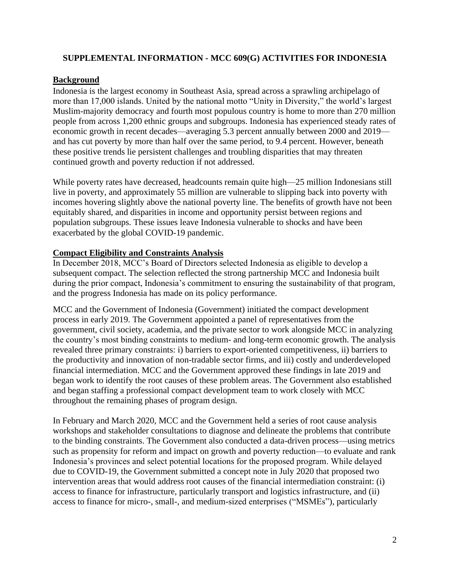## **SUPPLEMENTAL INFORMATION - MCC 609(G) ACTIVITIES FOR INDONESIA**

### **Background**

Indonesia is the largest economy in Southeast Asia, spread across a sprawling archipelago of more than 17,000 islands. United by the national motto "Unity in Diversity," the world's largest Muslim-majority democracy and fourth most populous country is home to more than 270 million people from across 1,200 ethnic groups and subgroups. Indonesia has experienced steady rates of economic growth in recent decades—averaging 5.3 percent annually between 2000 and 2019 and has cut poverty by more than half over the same period, to 9.4 percent. However, beneath these positive trends lie persistent challenges and troubling disparities that may threaten continued growth and poverty reduction if not addressed.

While poverty rates have decreased, headcounts remain quite high—25 million Indonesians still live in poverty, and approximately 55 million are vulnerable to slipping back into poverty with incomes hovering slightly above the national poverty line. The benefits of growth have not been equitably shared, and disparities in income and opportunity persist between regions and population subgroups. These issues leave Indonesia vulnerable to shocks and have been exacerbated by the global COVID-19 pandemic.

#### **Compact Eligibility and Constraints Analysis**

In December 2018, MCC's Board of Directors selected Indonesia as eligible to develop a subsequent compact. The selection reflected the strong partnership MCC and Indonesia built during the prior compact, Indonesia's commitment to ensuring the sustainability of that program, and the progress Indonesia has made on its policy performance.

MCC and the Government of Indonesia (Government) initiated the compact development process in early 2019. The Government appointed a panel of representatives from the government, civil society, academia, and the private sector to work alongside MCC in analyzing the country's most binding constraints to medium- and long-term economic growth. The analysis revealed three primary constraints: i) barriers to export-oriented competitiveness, ii) barriers to the productivity and innovation of non-tradable sector firms, and iii) costly and underdeveloped financial intermediation. MCC and the Government approved these findings in late 2019 and began work to identify the root causes of these problem areas. The Government also established and began staffing a professional compact development team to work closely with MCC throughout the remaining phases of program design.

In February and March 2020, MCC and the Government held a series of root cause analysis workshops and stakeholder consultations to diagnose and delineate the problems that contribute to the binding constraints. The Government also conducted a data-driven process—using metrics such as propensity for reform and impact on growth and poverty reduction—to evaluate and rank Indonesia's provinces and select potential locations for the proposed program. While delayed due to COVID-19, the Government submitted a concept note in July 2020 that proposed two intervention areas that would address root causes of the financial intermediation constraint: (i) access to finance for infrastructure, particularly transport and logistics infrastructure, and (ii) access to finance for micro-, small-, and medium-sized enterprises ("MSMEs"), particularly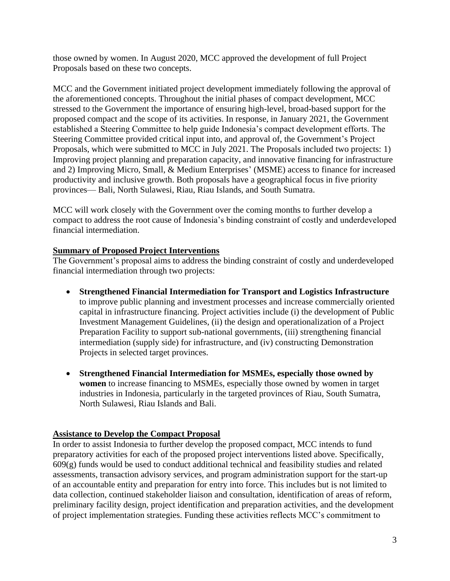those owned by women. In August 2020, MCC approved the development of full Project Proposals based on these two concepts.

MCC and the Government initiated project development immediately following the approval of the aforementioned concepts. Throughout the initial phases of compact development, MCC stressed to the Government the importance of ensuring high-level, broad-based support for the proposed compact and the scope of its activities. In response, in January 2021, the Government established a Steering Committee to help guide Indonesia's compact development efforts. The Steering Committee provided critical input into, and approval of, the Government's Project Proposals, which were submitted to MCC in July 2021. The Proposals included two projects: 1) Improving project planning and preparation capacity, and innovative financing for infrastructure and 2) Improving Micro, Small, & Medium Enterprises' (MSME) access to finance for increased productivity and inclusive growth. Both proposals have a geographical focus in five priority provinces— Bali, North Sulawesi, Riau, Riau Islands, and South Sumatra.

MCC will work closely with the Government over the coming months to further develop a compact to address the root cause of Indonesia's binding constraint of costly and underdeveloped financial intermediation.

## **Summary of Proposed Project Interventions**

The Government's proposal aims to address the binding constraint of costly and underdeveloped financial intermediation through two projects:

- **Strengthened Financial Intermediation for Transport and Logistics Infrastructure** to improve public planning and investment processes and increase commercially oriented capital in infrastructure financing. Project activities include (i) the development of Public Investment Management Guidelines, (ii) the design and operationalization of a Project Preparation Facility to support sub-national governments, (iii) strengthening financial intermediation (supply side) for infrastructure, and (iv) constructing Demonstration Projects in selected target provinces.
- **Strengthened Financial Intermediation for MSMEs, especially those owned by women** to increase financing to MSMEs, especially those owned by women in target industries in Indonesia, particularly in the targeted provinces of Riau, South Sumatra, North Sulawesi, Riau Islands and Bali.

#### **Assistance to Develop the Compact Proposal**

In order to assist Indonesia to further develop the proposed compact, MCC intends to fund preparatory activities for each of the proposed project interventions listed above. Specifically, 609(g) funds would be used to conduct additional technical and feasibility studies and related assessments, transaction advisory services, and program administration support for the start-up of an accountable entity and preparation for entry into force. This includes but is not limited to data collection, continued stakeholder liaison and consultation, identification of areas of reform, preliminary facility design, project identification and preparation activities, and the development of project implementation strategies. Funding these activities reflects MCC's commitment to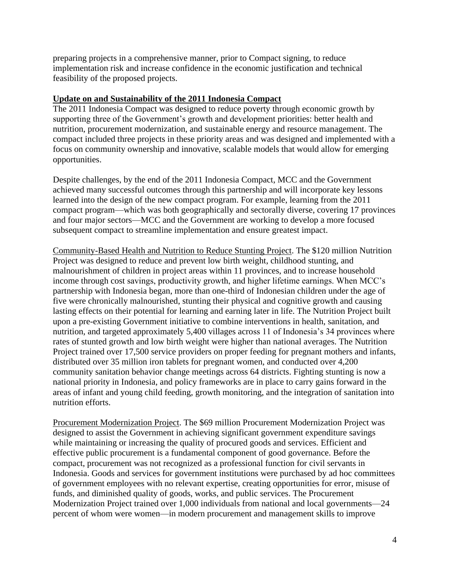preparing projects in a comprehensive manner, prior to Compact signing, to reduce implementation risk and increase confidence in the economic justification and technical feasibility of the proposed projects.

#### **Update on and Sustainability of the 2011 Indonesia Compact**

The 2011 Indonesia Compact was designed to reduce poverty through economic growth by supporting three of the Government's growth and development priorities: better health and nutrition, procurement modernization, and sustainable energy and resource management. The compact included three projects in these priority areas and was designed and implemented with a focus on community ownership and innovative, scalable models that would allow for emerging opportunities.

Despite challenges, by the end of the 2011 Indonesia Compact, MCC and the Government achieved many successful outcomes through this partnership and will incorporate key lessons learned into the design of the new compact program. For example, learning from the 2011 compact program—which was both geographically and sectorally diverse, covering 17 provinces and four major sectors—MCC and the Government are working to develop a more focused subsequent compact to streamline implementation and ensure greatest impact.

Community-Based Health and Nutrition to Reduce Stunting Project. The \$120 million Nutrition Project was designed to reduce and prevent low birth weight, childhood stunting, and malnourishment of children in project areas within 11 provinces, and to increase household income through cost savings, productivity growth, and higher lifetime earnings. When MCC's partnership with Indonesia began, more than one-third of Indonesian children under the age of five were chronically malnourished, stunting their physical and cognitive growth and causing lasting effects on their potential for learning and earning later in life. The Nutrition Project built upon a pre-existing Government initiative to combine interventions in health, sanitation, and nutrition, and targeted approximately 5,400 villages across 11 of Indonesia's 34 provinces where rates of stunted growth and low birth weight were higher than national averages. The Nutrition Project trained over 17,500 service providers on proper feeding for pregnant mothers and infants, distributed over 35 million iron tablets for pregnant women, and conducted over 4,200 community sanitation behavior change meetings across 64 districts. Fighting stunting is now a national priority in Indonesia, and policy frameworks are in place to carry gains forward in the areas of infant and young child feeding, growth monitoring, and the integration of sanitation into nutrition efforts.

Procurement Modernization Project. The \$69 million Procurement Modernization Project was designed to assist the Government in achieving significant government expenditure savings while maintaining or increasing the quality of procured goods and services. Efficient and effective public procurement is a fundamental component of good governance. Before the compact, procurement was not recognized as a professional function for civil servants in Indonesia. Goods and services for government institutions were purchased by ad hoc committees of government employees with no relevant expertise, creating opportunities for error, misuse of funds, and diminished quality of goods, works, and public services. The Procurement Modernization Project trained over 1,000 individuals from national and local governments—24 percent of whom were women—in modern procurement and management skills to improve